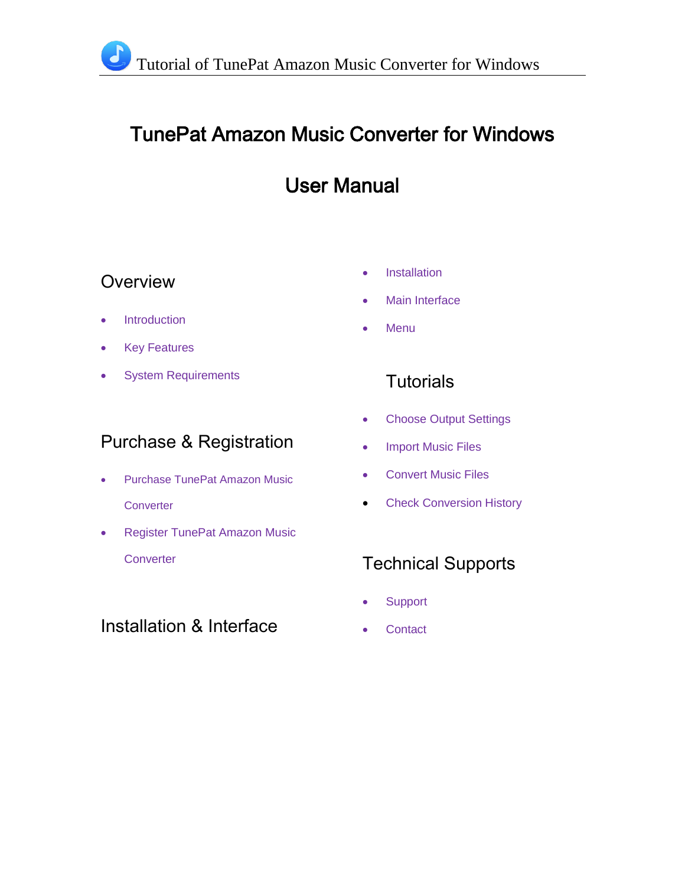## TunePat Amazon Music Converter for Windows

## User Manual

## **Overview**

- Introduction
- Key Features
- System Requirements

## Purchase & Registration

- Purchase TunePat Amazon Music **Converter**
- **Register TunePat Amazon Music Converter**

## Installation & Interface

- **•** Installation
- Main Interface
- **Menu**

## **Tutorials**

- Choose Output Settings
- Import Music Files
- Convert Music Files
- **Check Conversion History**

## Technical Supports

- **Support**
- **Contact**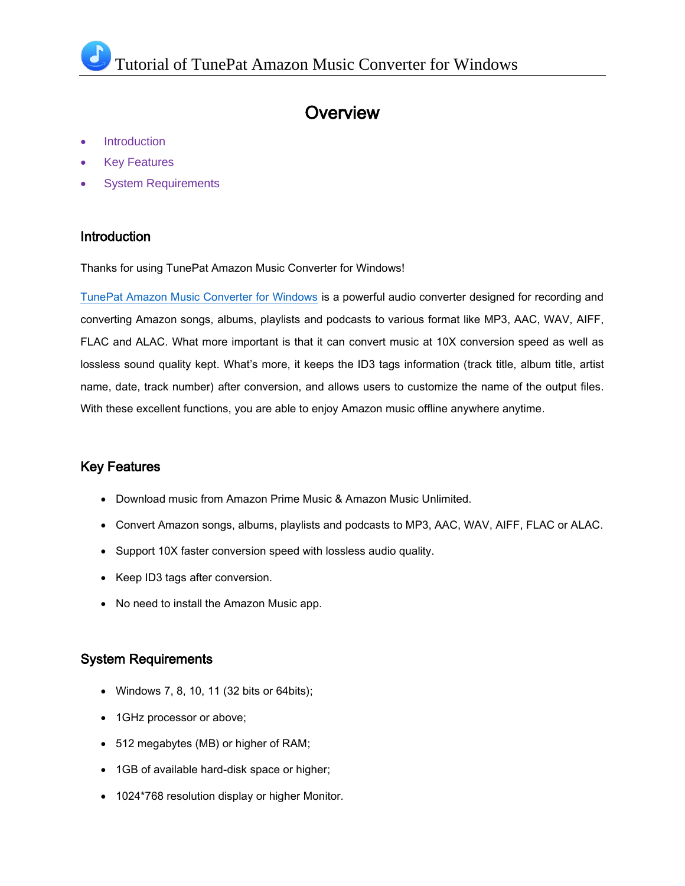### **Overview**

- Introduction
- Key Features
- System Requirements

#### Introduction

Thanks for using TunePat Amazon Music Converter for Windows!

[TunePat Amazon Music Converter for Windows](https://tunepat.com/amazon-music-converter.html) is a powerful audio converter designed for recording and converting Amazon songs, albums, playlists and podcasts to various format like MP3, AAC, WAV, AIFF, FLAC and ALAC. What more important is that it can convert music at 10X conversion speed as well as lossless sound quality kept. What's more, it keeps the ID3 tags information (track title, album title, artist name, date, track number) after conversion, and allows users to customize the name of the output files. With these excellent functions, you are able to enjoy Amazon music offline anywhere anytime.

#### Key Features

- Download music from Amazon Prime Music & Amazon Music Unlimited.
- Convert Amazon songs, albums, playlists and podcasts to MP3, AAC, WAV, AIFF, FLAC or ALAC.
- Support 10X faster conversion speed with lossless audio quality.
- Keep ID3 tags after conversion.
- No need to install the Amazon Music app.

#### System Requirements

- Windows 7, 8, 10, 11 (32 bits or 64bits);
- 1GHz processor or above;
- 512 megabytes (MB) or higher of RAM;
- 1GB of available hard-disk space or higher;
- 1024\*768 resolution display or higher Monitor.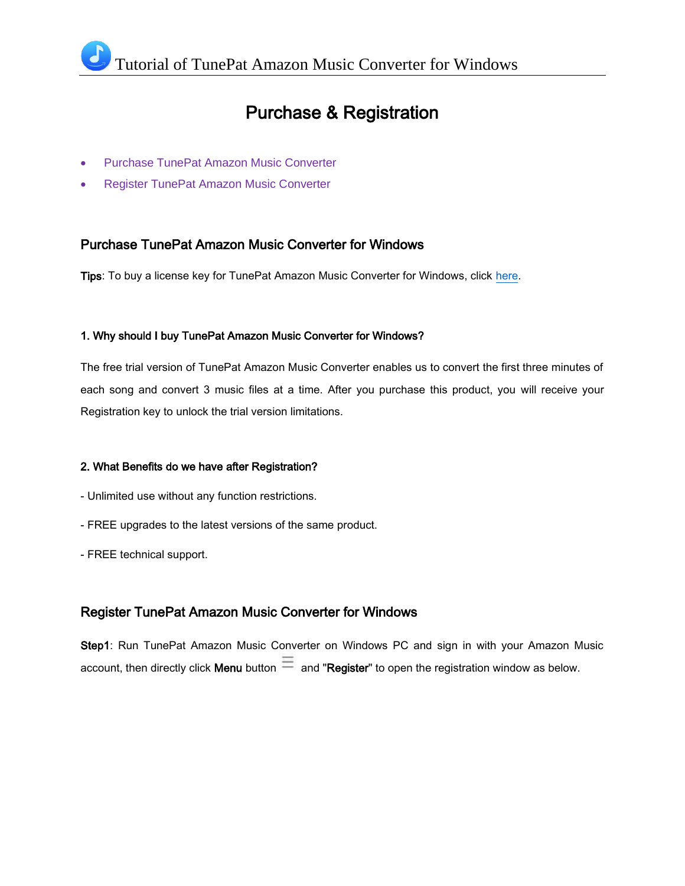## Purchase & Registration

- Purchase TunePat Amazon Music Converter
- Register TunePat Amazon Music Converter

#### Purchase TunePat Amazon Music Converter for Windows

Tips: To buy a license key for TunePat Amazon Music Converter for Windows, click [here.](https://www.tunepat.com/amazon-music-converter/buynow.html)

#### 1. Why should I buy TunePat Amazon Music Converter for Windows?

The free trial version of TunePat Amazon Music Converter enables us to convert the first three minutes of each song and convert 3 music files at a time. After you purchase this product, you will receive your Registration key to unlock the trial version limitations.

#### 2. What Benefits do we have after Registration?

- Unlimited use without any function restrictions.
- FREE upgrades to the latest versions of the same product.
- FREE technical support.

#### Register TunePat Amazon Music Converter for Windows

Step1: Run TunePat Amazon Music Converter on Windows PC and sign in with your Amazon Music account, then directly click Menu button  $\equiv$  and "Register" to open the registration window as below.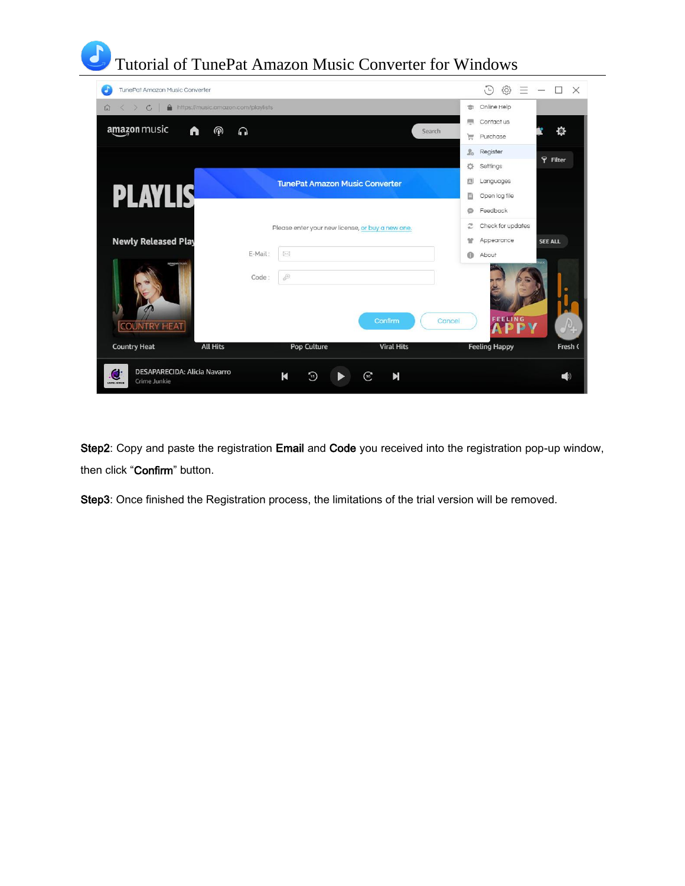# Tutorial of TunePat Amazon Music Converter for Windows

| TunePat Amazon Music Converter                                                 |                                    |                                                  |                   |         | 63<br>$\sqrt{L}$<br>Ξ | $\times$        |
|--------------------------------------------------------------------------------|------------------------------------|--------------------------------------------------|-------------------|---------|-----------------------|-----------------|
| $\mathcal{C}$<br>⋒<br>$\Omega$                                                 | https://music.amazon.com/playlists |                                                  |                   | ÷       | Online Help           |                 |
| amazon music                                                                   | $\circledcirc$<br>A<br>⋒           |                                                  | Search            | 燗       | Contact us            | 尊               |
|                                                                                |                                    |                                                  |                   | Έ       | Purchase              |                 |
|                                                                                |                                    |                                                  |                   | L.<br>舂 | Register<br>Settings  | <b>P</b> Filter |
|                                                                                |                                    | <b>TunePat Amazon Music Converter</b>            |                   | 囚       | Languages             |                 |
| <b>PLAYLIS</b>                                                                 |                                    |                                                  |                   | B       | Open log file         |                 |
|                                                                                |                                    |                                                  |                   | ⊜       | Feedback              |                 |
|                                                                                |                                    | Please enter your new license, or buy a new one. |                   | c       | Check for updates     |                 |
| <b>Newly Released Play</b>                                                     |                                    |                                                  |                   | Ħ       | Appearance            | <b>SEE ALL</b>  |
| amazon musi                                                                    | E-Mail:                            | ×                                                |                   | $\odot$ | About                 |                 |
|                                                                                | Code:                              | $\mathcal{E}$                                    | Confirm           | Cancel  | <b>FEELING</b>        |                 |
| <b>COUNTRY HEAT</b>                                                            |                                    |                                                  |                   |         |                       |                 |
| <b>Country Heat</b>                                                            | <b>All Hits</b>                    | <b>Pop Culture</b>                               | <b>Viral Hits</b> |         | <b>Feeling Happy</b>  | Fresh (         |
| <b>DESAPARECIDA: Alicia Navarro</b><br>Û<br>Crime Junkie<br><b>COMP JUNIOR</b> |                                    | К<br>Ð                                           | N<br>☞            |         |                       | CD)             |

Step2: Copy and paste the registration Email and Code you received into the registration pop-up window, then click "Confirm" button.

Step3: Once finished the Registration process, the limitations of the trial version will be removed.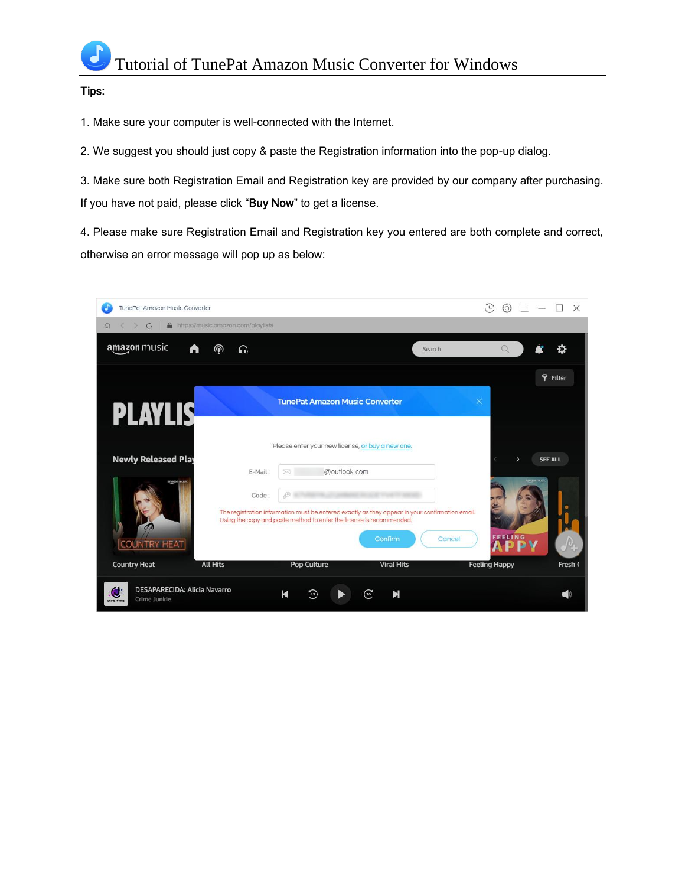#### Tips:

1. Make sure your computer is well-connected with the Internet.

2. We suggest you should just copy & paste the Registration information into the pop-up dialog.

3. Make sure both Registration Email and Registration key are provided by our company after purchasing. If you have not paid, please click "Buy Now" to get a license.

4. Please make sure Registration Email and Registration key you entered are both complete and correct, otherwise an error message will pop up as below:

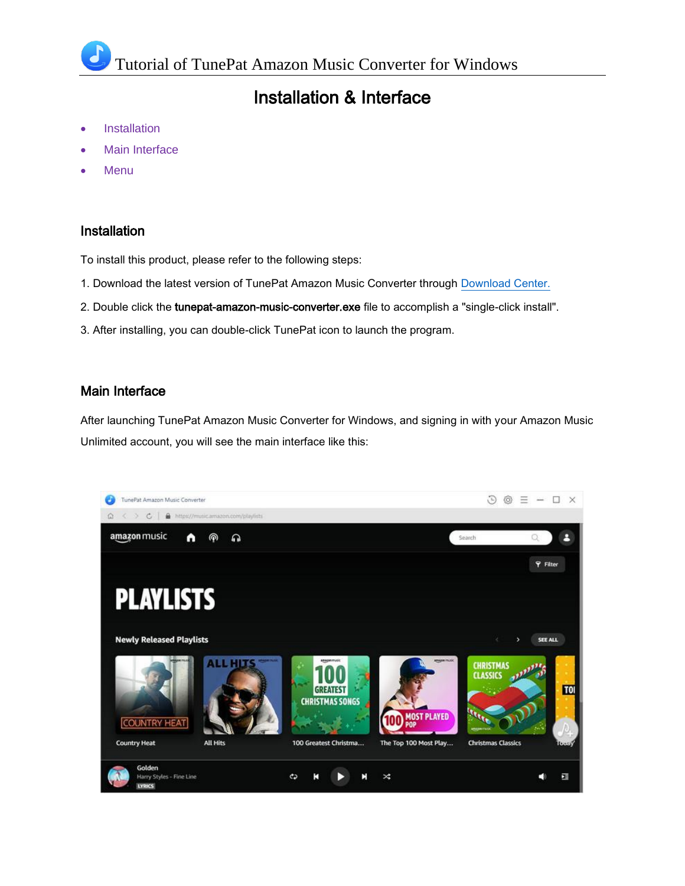## Installation & Interface

- **Installation**
- Main Interface
- **Menu**

#### Installation

To install this product, please refer to the following steps:

- 1. Download the latest version of TunePat Amazon Music Converter through [Download Center.](https://www.tunepat.com/download.html)
- 2. Double click the tunepat-amazon-music-converter.exe file to accomplish a "single-click install".
- 3. After installing, you can double-click TunePat icon to launch the program.

#### Main Interface

After launching TunePat Amazon Music Converter for Windows, and signing in with your Amazon Music Unlimited account, you will see the main interface like this:

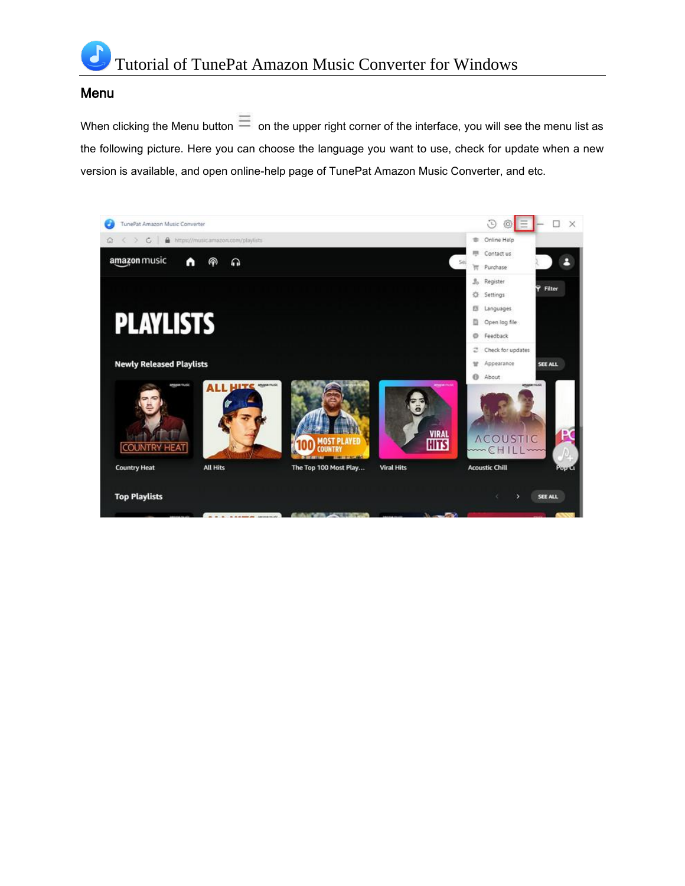

#### Menu

When clicking the Menu button  $\equiv$  on the upper right corner of the interface, you will see the menu list as the following picture. Here you can choose the language you want to use, check for update when a new version is available, and open online-help page of TunePat Amazon Music Converter, and etc.

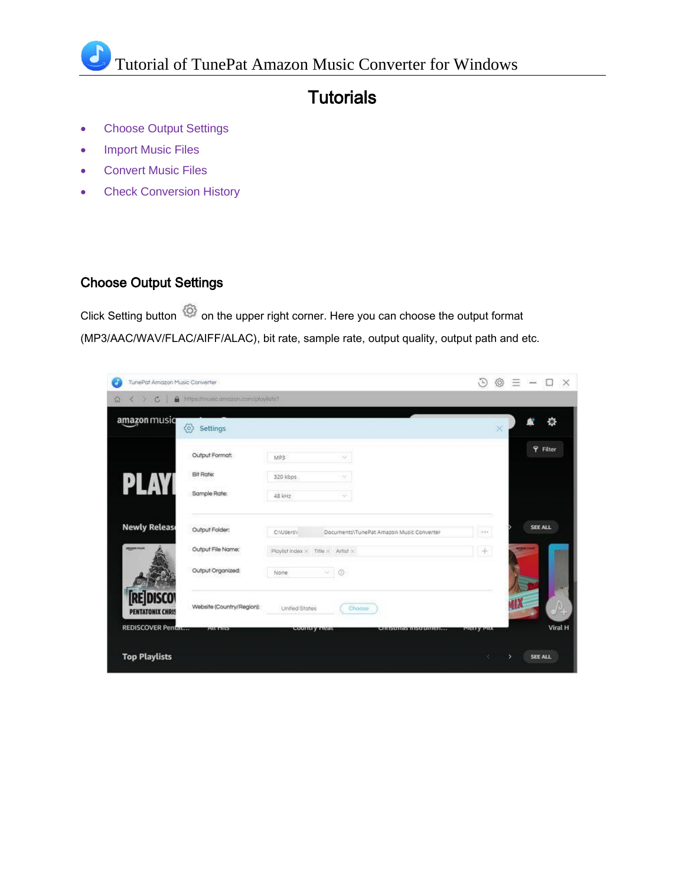## **Tutorials**

- Choose Output Settings
- Import Music Files
- Convert Music Files
- Check Conversion History

#### Choose Output Settings

Click Setting button  $\bigcirc$  on the upper right corner. Here you can choose the output format (MP3/AAC/WAV/FLAC/AIFF/ALAC), bit rate, sample rate, output quality, output path and etc.

| TunePat Amazon Music Converter            |                                     |                                                        |                                          | G<br>₩                        | $=$<br>$\frac{1}{2}$            | $\times$<br>u |
|-------------------------------------------|-------------------------------------|--------------------------------------------------------|------------------------------------------|-------------------------------|---------------------------------|---------------|
| $\mathfrak{C}$<br>A<br>$\Omega$<br>∢<br>× | https://music.amazon.com/playlists? |                                                        |                                          |                               |                                 |               |
| amazon musiq                              | త<br>Settings                       |                                                        |                                          | $\times$                      |                                 | o             |
|                                           | Output Format:                      | MP3<br>×.                                              |                                          |                               | <b>P</b> Filter                 |               |
|                                           | <b>Bit Rate:</b>                    | 320 kbps                                               |                                          |                               |                                 |               |
| PLAY                                      | Sample Rate:                        | 48 kHz<br>$\sim$                                       |                                          |                               |                                 |               |
| <b>Newly Release</b>                      | Output Folder:                      | C:\Users\/                                             | Documents\TunePat Amazon Music Converter | $\mathcal{L}$ ( $\mathcal{L}$ | <b>SEE ALL</b>                  |               |
| <b>ABADEMINIST</b>                        | Output File Name:                   | Playlist Index $\times$ Title $\times$ Artist $\times$ |                                          | $+$                           | para n                          |               |
|                                           | Output Organized:                   | $\vee$ 0<br>None.                                      |                                          |                               |                                 |               |
| <b>REDISCO</b><br><b>PENTATONIX CHRIS</b> | Website (Country/Region):           | United States<br>Choose                                |                                          |                               | dХ                              |               |
| <b>REDISCOVER Pentat</b>                  | <b>CALLER AND</b>                   | country near                                           | сливиная пидпонията.                     | <b>INIGERY AVILY</b>          |                                 | Viral H       |
| <b>Top Playlists</b>                      |                                     |                                                        |                                          |                               | <b>SEE ALL</b><br>$\rightarrow$ |               |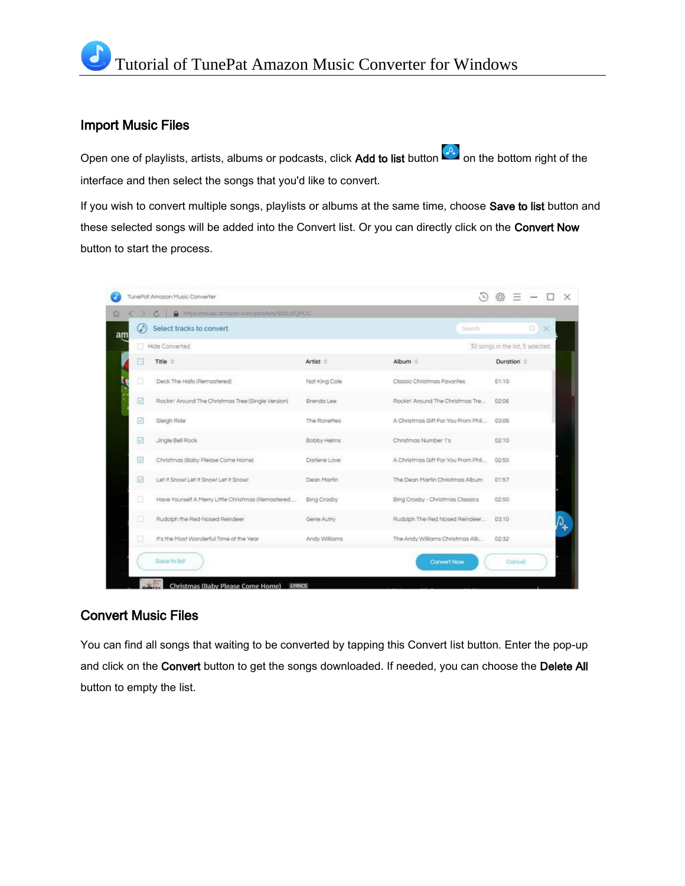#### Import Music Files

Open one of playlists, artists, albums or podcasts, click Add to list button  $[0, 0]$  on the bottom right of the interface and then select the songs that you'd like to convert.

If you wish to convert multiple songs, playlists or albums at the same time, choose Save to list button and these selected songs will be added into the Convert list. Or you can directly click on the Convert Now button to start the process.

|    | TunePat Amazon Music Converter | A https://music.amazon.com/playtists/800JEQPLIC<br>$\mathcal{C}$ |               |                                    |                                   |
|----|--------------------------------|------------------------------------------------------------------|---------------|------------------------------------|-----------------------------------|
|    | Ø                              | Select tracks to convert                                         |               | Search                             | Q) X                              |
| am | o                              | Hide Converted                                                   |               |                                    | 30 songs in the list, 5 selected. |
|    | 日                              | Title =                                                          | Artist =      | Album =                            | Duration =                        |
|    | ▣                              | Deck The Halls (Remastered)                                      | Nat King Cole | Classic Christmas Favorites        | 01:10                             |
|    | ☑                              | Rockin' Around The Christmas Tree (Single Version)               | Brenda Lee    | Rockin' Around The Christmas Tre   | 02:06                             |
|    | $\omega^*$                     | Sleigh Ride                                                      | The Ronettes  | A Christmas Gift For You From Phil | 03:05                             |
|    | $\overline{\psi'}$             | Jingle Bell Rock                                                 | Bobby Helms   | Christmas Number 1's               | 02:10                             |
|    | $\varphi^t$                    | Christmas (Baby Please Come Home)                                | Darlene Love  | A Christmas Gift For You From Phil | 02:50                             |
|    | $\triangledown$                | Let it Snowt Let it Snowt Let it Snowt                           | Dean Martin   | The Dean Martin Christmas Album    | 01:57                             |
|    | ◫                              | Have Yourself A Merry Little Christmas (Remastered               | Bing Crosby   | Bing Crosby - Christmas Classics   | 02:50                             |
|    | α                              | Rudolph the Red-Nosed Reindeer                                   | Gene Autry    | Rudolph The Red Nosed Reindeer     | 03:10                             |
|    |                                | It's the Most Wonderful Time of the Year                         | Andy Williams | The Andy Williams Christmas Alb    | 02:32                             |
|    |                                | Save to list                                                     |               | <b>Convert Now</b>                 | Cancel                            |

#### Convert Music Files

You can find all songs that waiting to be converted by tapping this Convert list button. Enter the pop-up and click on the Convert button to get the songs downloaded. If needed, you can choose the Delete All button to empty the list.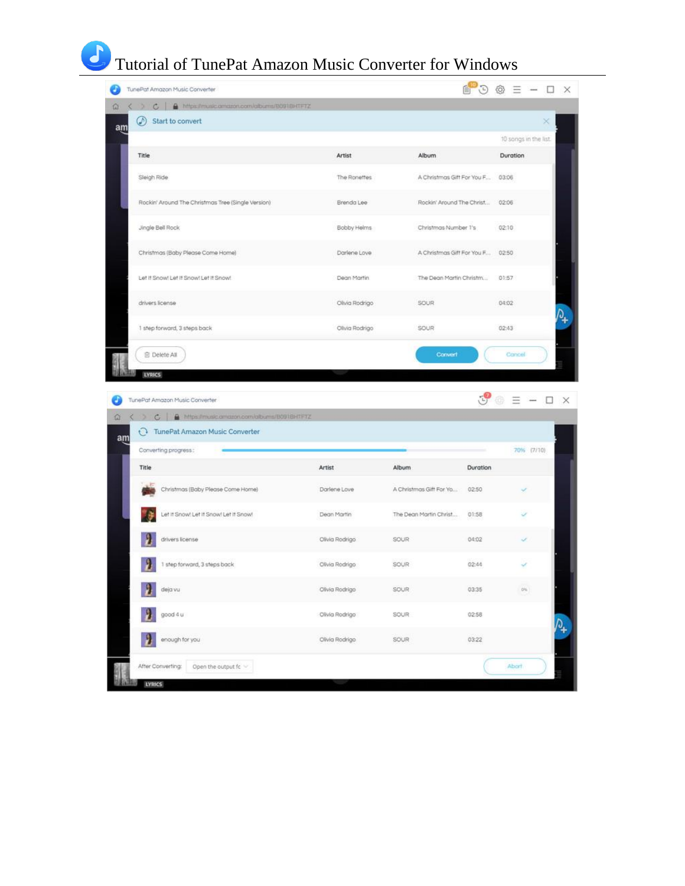## Tutorial of TunePat Amazon Music Converter for Windows

| https://music.amazon.com/albums/B091BHTFTZ<br>$\mathbb{C}$                           |                |                            |          |                       |   |
|--------------------------------------------------------------------------------------|----------------|----------------------------|----------|-----------------------|---|
| ⊛<br>Start to convert                                                                |                |                            |          |                       | × |
|                                                                                      |                |                            |          | 10 songs in the list. |   |
| Title                                                                                | Artist         | Album                      |          | Duration              |   |
| Sleigh Ride                                                                          | The Ronettes   | A Christmas Gift For You F |          | 03:06                 |   |
| Rockin' Around The Christmas Tree (Single Version)                                   | Brenda Lee     | Rockin' Around The Christ  |          | 02:06                 |   |
| Jingle Bell Rock                                                                     | Bobby Helms    | Christmas Number 1's       |          | 02:10                 |   |
| Christmas (Baby Please Come Home)                                                    | Darlene Love   | A Christmas Gift For You F |          | 02:50                 |   |
| Let it Snowl Let it Snowl Let it Snowl                                               | Dean Martin    | The Dean Martin Christm    |          | 01:57                 |   |
| drivers license                                                                      | Olivia Rodrigo | <b>SOUR</b>                |          | 04:02                 |   |
| 1 step forward, 3 steps back                                                         | Olivia Rodrigo | <b>SOUR</b>                |          | 02:43                 |   |
|                                                                                      |                |                            |          |                       |   |
|                                                                                      |                |                            |          |                       |   |
| <b>B</b> Delete All<br><b>LYRICS</b><br>TunePat Amazon Music Converter               |                | Convert                    |          | Cancel                |   |
| C       https://music.amazon.com/albums/B091BHTFTZ<br>TunePat Amazon Music Converter |                |                            |          |                       |   |
| Converting progress:                                                                 |                |                            |          | 7096 (7/10)           |   |
| Title                                                                                | Artist         | Album                      | Duration |                       |   |
| Christmas (Baby Please Come Home)                                                    | Darlene Love   | A Christmas Gift For Yo    | 02:50    |                       |   |
| Let it Snow! Let it Snow! Let it Snow!                                               | Dean Martin    | The Dean Martin Christ     | 01:58    |                       |   |
| drivers license                                                                      | Olivia Rodrigo | SOUR                       | 04:02    |                       |   |
| 1 step forward, 3 steps back                                                         | Clivia Rodrigo | SOUR                       | 02:44    |                       |   |
| deja vu                                                                              | Olivia Rodrigo | SOUR                       | 03:35    | $0\%$                 |   |
| good 4 u                                                                             | Olivia Rodrigo | SQUR                       | 02:58    |                       |   |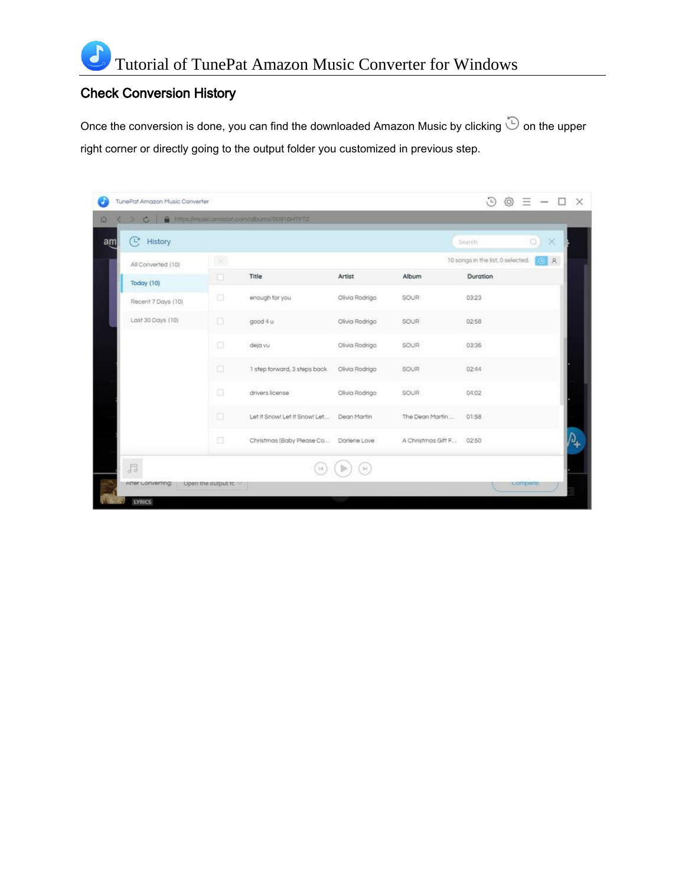#### Check Conversion History

Once the conversion is done, you can find the downloaded Amazon Music by clicking  $\ddot{\odot}$  on the upper right corner or directly going to the output folder you customized in previous step.